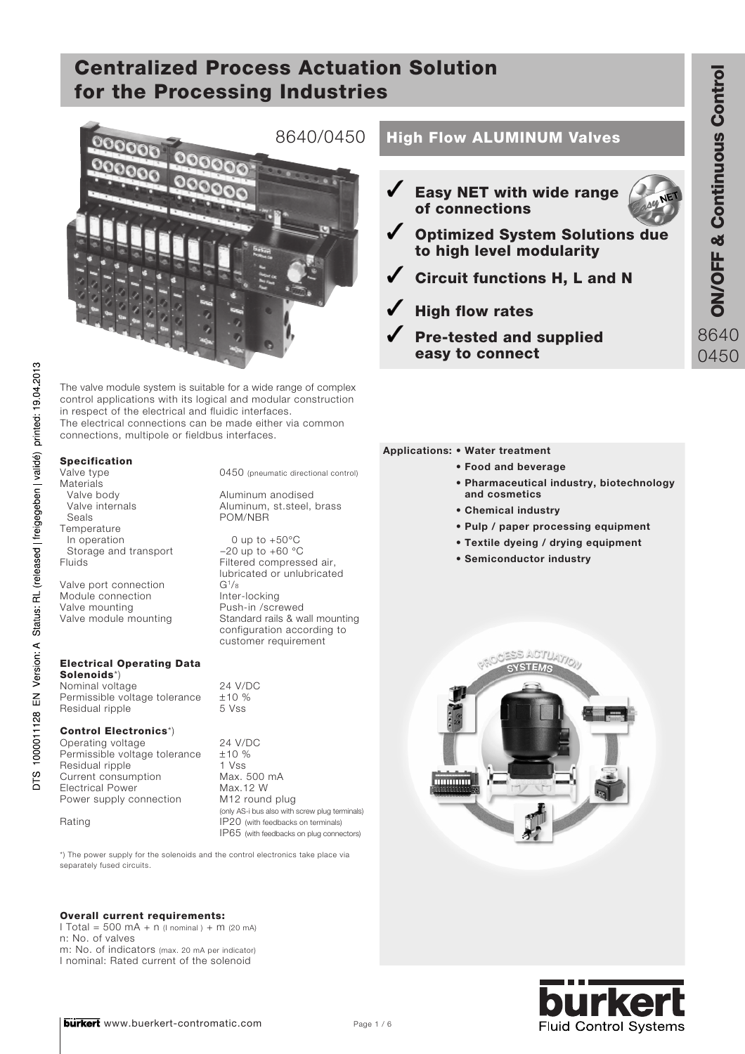

The valve module system is suitable for a wide range of complex control applications with its logical and modular construction in respect of the electrical and fluidic interfaces. The electrical connections can be made either via common connections, multipole or fieldbus interfaces.

### Specification

Materials<br>Valve body Valve body **Aluminum anodised**<br>Valve internals **Aluminum**, st.steel, Temperature<br>In operation Storage and transport<br>Fluids

Valve port connection  $G^{1/8}$ <br>Module connection Inter-locking Module connection<br>Valve mounting Valve mounting Push-in /screwed<br>Valve module mounting Standard rails & wa

#### Electrical Operating Data Solenoids\*)

Nominal voltage 24 V/DC<br>Permissible voltage tolerance +10 % Permissible voltage tolerance  $\pm$ 10 %<br>Residual ripple 5 Vss Residual ripple

#### Control Electronics\*)

Operating voltage 24 V/DC Permissible voltage tolerance ±10 % Residual ripple 1 Vss<br>
Current consumption Max. 500 mA Current consumption Max. 500 mAx. 500 mAx. 500 mAx. 12 W Electrical Power<br>
Power supply connection M12 round plug Power supply connection

Valve type  $0450$  (pneumatic directional control)

Valve internals Aluminum, st.steel, brass<br>Seals POM/NBR POM/NBR

> 0 up to  $+50^{\circ}$ C<br>-20 up to  $+60^{\circ}$ C Filtered compressed air, lubricated or unlubricated Standard rails & wall mounting configuration according to customer requirement

(only AS-i bus also with screw plug terminals) Rating **IP20** (with feedbacks on terminals) IP65 (with feedbacks on plug connectors)

\*) The power supply for the solenoids and the control electronics take place via separately fused circuits.

### Overall current requirements:

 $I Total = 500 mA + n$  ( $I normal$ ) + m (20 mA) n: No. of valves m: No. of indicators (max. 20 mA per indicator) I nominal: Rated current of the solenoid

## 8640/0450 | High Flow ALUMINUM Valves

- Easy NET with wide range of connections
- Optimized System Solutions due to high level modularity



- High flow rates
- Pre-tested and supplied easy to connect



- **Food and beverage**
- **Pharmaceutical industry, biotechnology and cosmetics**
- **Chemical industry**
- **Pulp / paper processing equipment**
- **Textile dyeing / drying equipment**
- **Semiconductor industry**



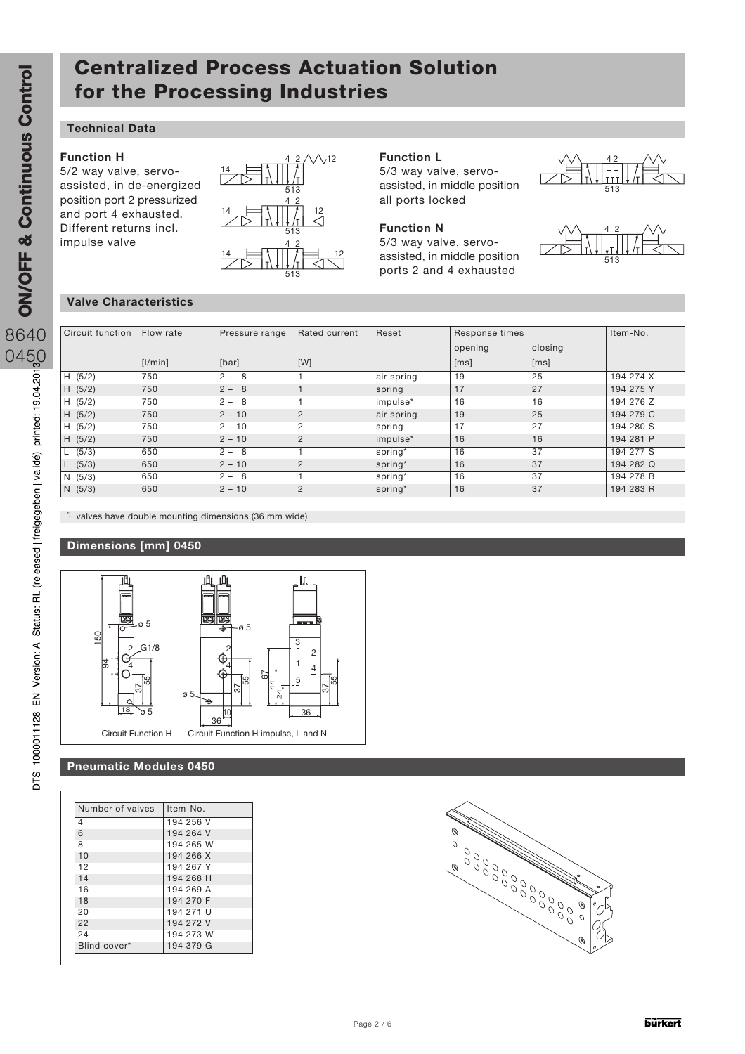### **Technical Data**

#### **Function H**

5/2 way valve, servoassisted, in de-energized position port 2 pressurized and port 4 exhausted. Different returns incl. impulse valve



#### **Function L**

5/3 way valve, servoassisted, in middle position all ports locked



5/3 way valve, servoassisted, in middle position ports 2 and 4 exhausted





#### **Valve Characteristics**

| Circuit function | Flow rate | Pressure range | Rated current  | Reset      | Response times |         | Item-No.  |
|------------------|-----------|----------------|----------------|------------|----------------|---------|-----------|
|                  |           |                |                |            | opening        | closing |           |
|                  | [1/min]   | [bar]          | [W]            |            | [ms]           | [ms]    |           |
| H (5/2)          | 750       | $2 -$<br>8     |                | air spring | 19             | 25      | 194 274 X |
| H (5/2)          | 750       | $2 - 8$        |                | spring     | 17             | 27      | 194 275 Y |
| H(5/2)           | 750       | $2 -$<br>- 8   |                | impulse*   | 16             | 16      | 194 276 Z |
| H (5/2)          | 750       | $2 - 10$       | $\overline{2}$ | air spring | 19             | 25      | 194 279 C |
| H (5/2)          | 750       | $2 - 10$       | $\overline{2}$ | spring     | 17             | 27      | 194 280 S |
| H (5/2)          | 750       | $2 - 10$       | $\overline{2}$ | impulse*   | 16             | 16      | 194 281 P |
| (5/3)            | 650       | $2 - 8$        |                | spring*    | 16             | 37      | 194 277 S |
| (5/3)            | 650       | $2 - 10$       | $\overline{2}$ | spring*    | 16             | 37      | 194 282 Q |
| N(5/3)           | 650       | $2 - 8$        |                | spring*    | 16             | 37      | 194 278 B |
| N(5/3)           | 650       | $2 - 10$       | 2              | spring*    | 16             | 37      | 194 283 R |

<sup>t</sup> valves have double mounting dimensions (36 mm wide)

### **Dimensions [mm] 0450**



### **Pneumatic Modules 0450**

| Number of valves | Item-No.  |
|------------------|-----------|
| 4                | 194 256 V |
| 6                | 194 264 V |
| 8                | 194 265 W |
| 10               | 194 266 X |
| 12               | 194 267 Y |
| 14               | 194 268 H |
| 16               | 194 269 A |
| 18               | 194 270 F |
| 20               | 194 271 U |
| 22               | 194 272 V |
| 24               | 194 273 W |
| Blind cover*     | 194 379 G |

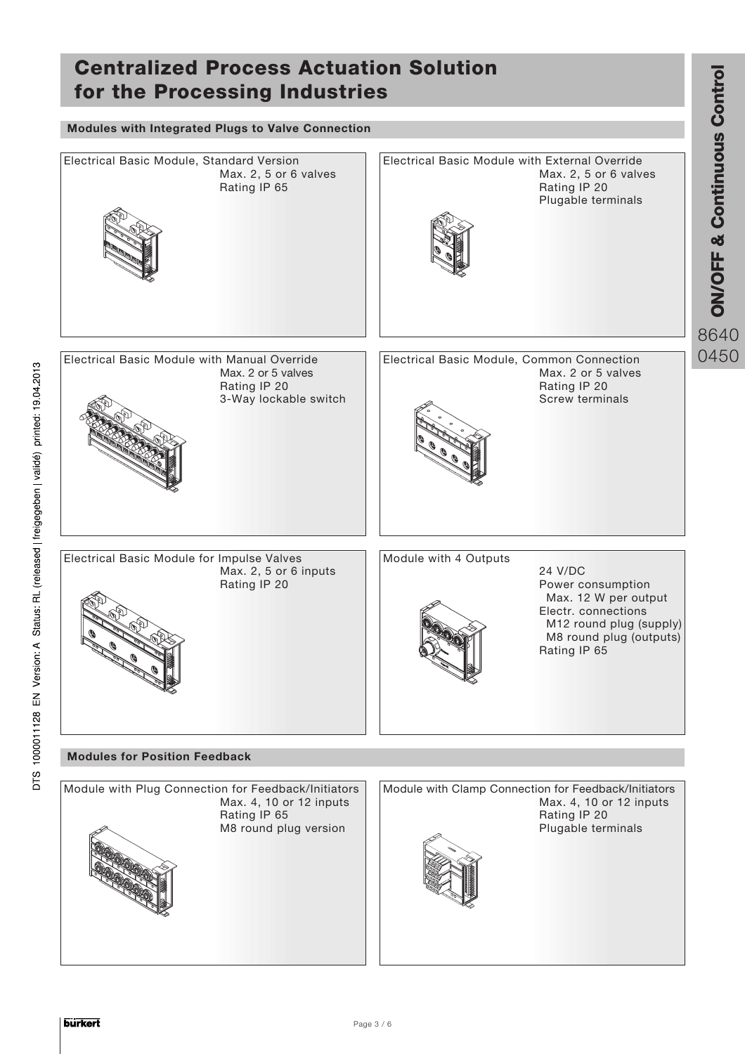## ON/OFF & Continuous Contr Centralized Process Actuation Solution **ON/OFF & Continuous Control** for the Processing Industries 8640 0450 **Modules with Integrated Plugs to Valve Connection** Electrical Basic Module, Standard Version Max. 2, 5 or 6 valves Rating IP 65 Electrical Basic Module with External Override Max. 2, 5 or 6 valves Rating IP 20 Plugable terminals Electrical Basic Module with Manual Override Max. 2 or 5 valves Rating IP 20 3-Way lockable switch Electrical Basic Module, Common Connection Max. 2 or 5 valves Rating IP 20 Screw terminals Electrical Basic Module for Impulse Valves Max. 2, 5 or 6 inputs Rating IP 20 Module with 4 Outputs 24 V/DC Power consumption Max. 12 W per output Electr. connections M12 round plug (supply) M8 round plug (outputs) Rating IP 65 Module with Plug Connection for Feedback/Initiators Max. 4, 10 or 12 inputs Rating IP 65 M8 round plug version Module with Clamp Connection for Feedback/Initiators Max. 4, 10 or 12 inputs Rating IP 20 Plugable terminals **Modules for Position Feedback**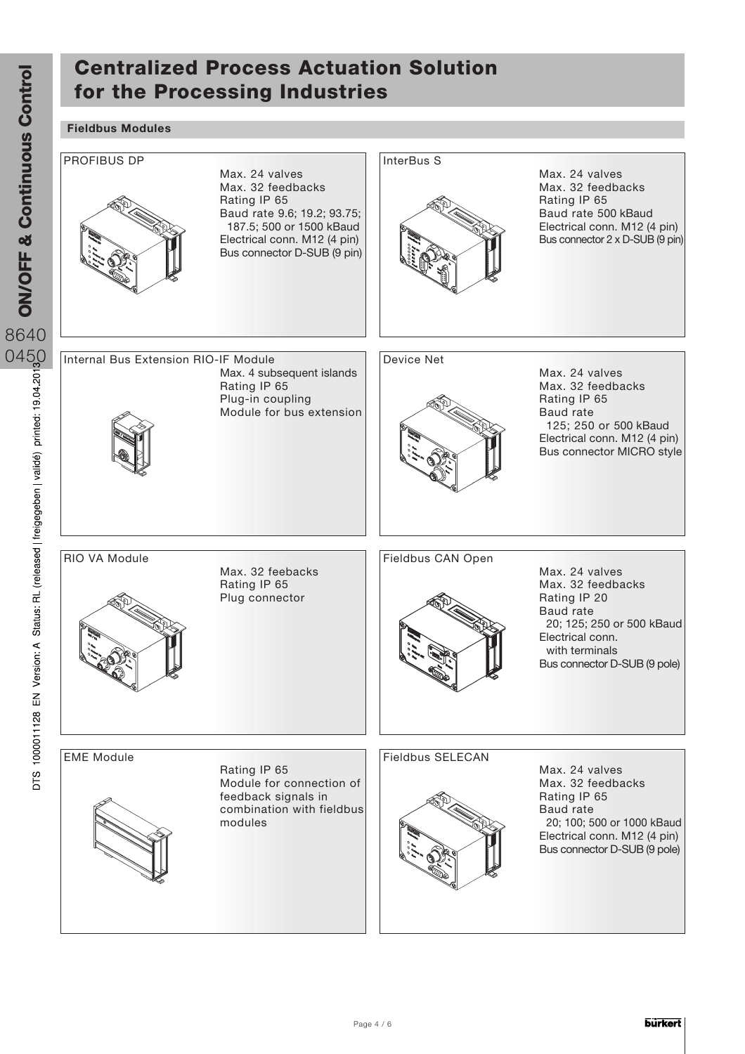### **Fieldbus Modules**

ON/OFF & Continuous Control

DTS 1000011128 EN Version: A Status: RL (released | freigegeben | validé) printed: 19.04.201

**ON/OFF & Continuous Control** 

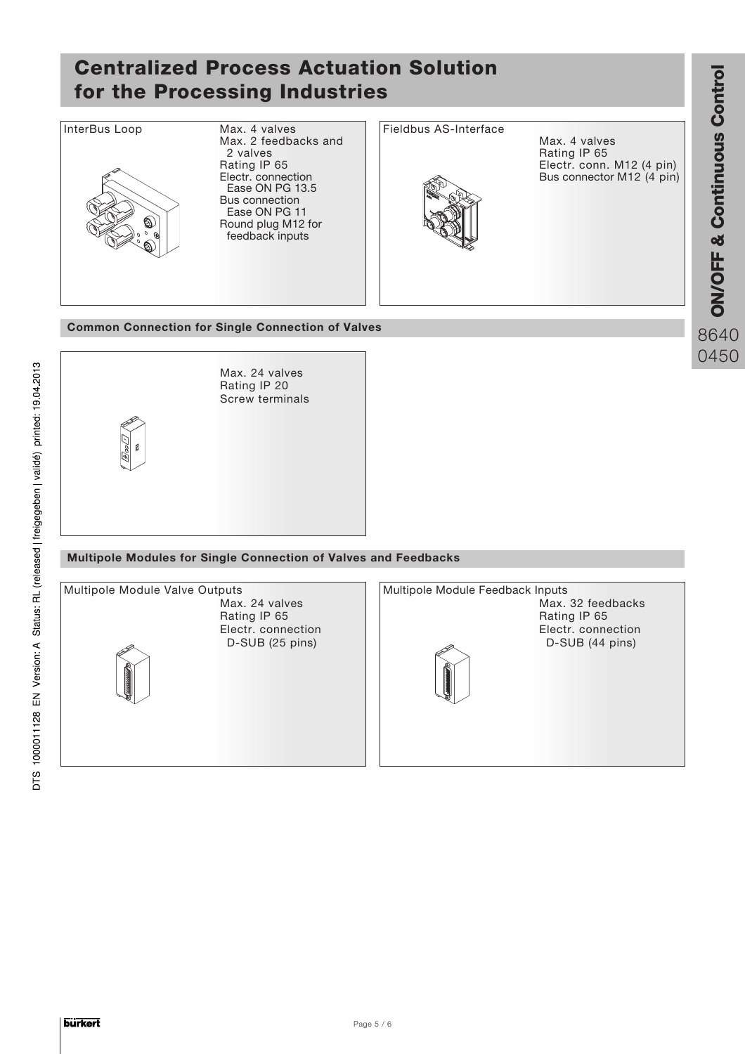

ON/OFF & Continuous Contr

8640 0450

ठ

**Common Connection for Single Connection of Valves**



### **Multipole Modules for Single Connection of Valves and Feedbacks**